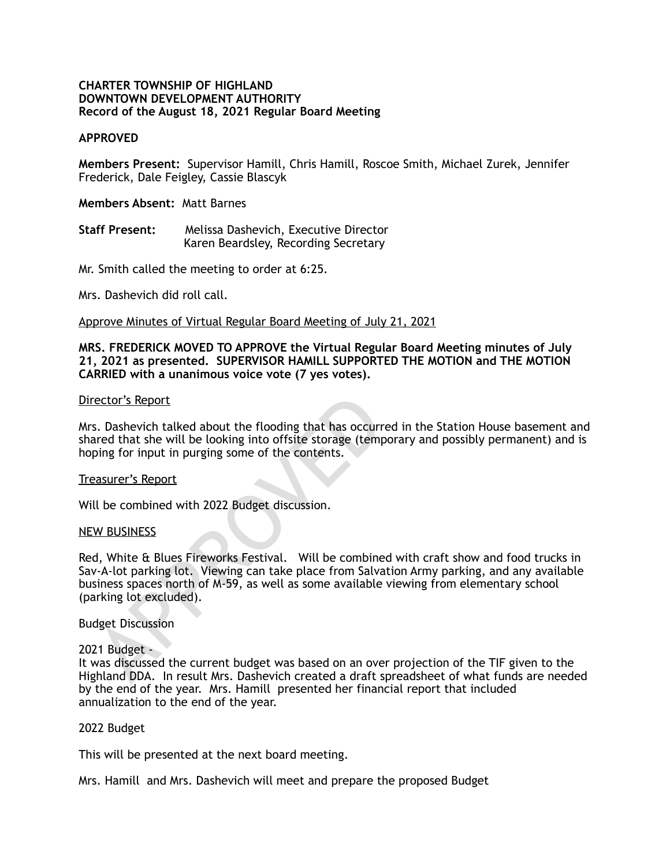#### **CHARTER TOWNSHIP OF HIGHLAND DOWNTOWN DEVELOPMENT AUTHORITY Record of the August 18, 2021 Regular Board Meeting**

## **APPROVED**

**Members Present:** Supervisor Hamill, Chris Hamill, Roscoe Smith, Michael Zurek, Jennifer Frederick, Dale Feigley, Cassie Blascyk

#### **Members Absent:** Matt Barnes

**Staff Present:** Melissa Dashevich, Executive Director Karen Beardsley, Recording Secretary

Mr. Smith called the meeting to order at 6:25.

Mrs. Dashevich did roll call.

Approve Minutes of Virtual Regular Board Meeting of July 21, 2021

#### **MRS. FREDERICK MOVED TO APPROVE the Virtual Regular Board Meeting minutes of July 21, 2021 as presented. SUPERVISOR HAMILL SUPPORTED THE MOTION and THE MOTION CARRIED with a unanimous voice vote (7 yes votes).**

#### Director's Report

Mrs. Dashevich talked about the flooding that has occurred in the Station House basement and shared that she will be looking into offsite storage (temporary and possibly permanent) and is hoping for input in purging some of the contents.

#### Treasurer's Report

Will be combined with 2022 Budget discussion.

#### NEW BUSINESS

rector's Report<br>
s. Dashevich talked about the flooding that has occurr<br>
ared that she will be looking into offsite storage (temp<br>
ping for input in purging some of the contents.<br>
easurer's Report<br>
Il be combined with 2022 Red, White & Blues Fireworks Festival. Will be combined with craft show and food trucks in Sav-A-lot parking lot. Viewing can take place from Salvation Army parking, and any available business spaces north of M-59, as well as some available viewing from elementary school (parking lot excluded).

## Budget Discussion

## 2021 Budget -

It was discussed the current budget was based on an over projection of the TIF given to the Highland DDA. In result Mrs. Dashevich created a draft spreadsheet of what funds are needed by the end of the year. Mrs. Hamill presented her financial report that included annualization to the end of the year.

#### 2022 Budget

This will be presented at the next board meeting.

Mrs. Hamill and Mrs. Dashevich will meet and prepare the proposed Budget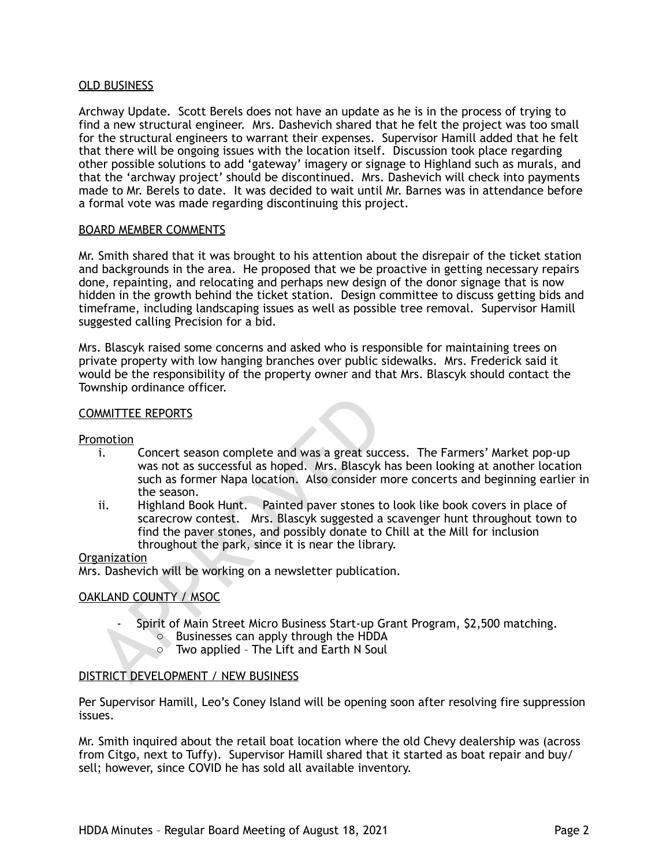## OLD BUSINESS

Archway Update. Scott Berels does not have an update as he is in the process of trying to find a new structural engineer. Mrs. Dashevich shared that he felt the project was too small for the structural engineers to warrant their expenses. Supervisor Hamill added that he felt that there will be ongoing issues with the location itself. Discussion took place regarding other possible solutions to add 'gateway' imagery or signage to Highland such as murals, and that the 'archway project' should be discontinued. Mrs. Dashevich will check into payments made to Mr. Berels to date. It was decided to wait until Mr. Barnes was in attendance before a formal vote was made regarding discontinuing this project.

## BOARD MEMBER COMMENTS

Mr. Smith shared that it was brought to his attention about the disrepair of the ticket station and backgrounds in the area. He proposed that we be proactive in getting necessary repairs done, repainting, and relocating and perhaps new design of the donor signage that is now hidden in the growth behind the ticket station. Design committee to discuss getting bids and timeframe, including landscaping issues as well as possible tree removal. Supervisor Hamill suggested calling Precision for a bid.

Mrs. Blascyk raised some concerns and asked who is responsible for maintaining trees on private property with low hanging branches over public sidewalks. Mrs. Frederick said it would be the responsibility of the property owner and that Mrs. Blascyk should contact the Township ordinance officer.

#### COMMITTEE REPORTS

#### Promotion

- i. Concert season complete and was a great success. The Farmers' Market pop-up was not as successful as hoped. Mrs. Blascyk has been looking at another location such as former Napa location. Also consider more concerts and beginning earlier in the season.
- MANITTEE REPORTS<br>
i. Concert season complete and was a great success<br>
was not as successful as hoped. Mrs. Blascyk<br>
such as former Napa location. Also consider r<br>
the season.<br>
ii. Highland Book Hunt. Painted paver stones t ii. Highland Book Hunt. Painted paver stones to look like book covers in place of scarecrow contest. Mrs. Blascyk suggested a scavenger hunt throughout town to find the paver stones, and possibly donate to Chill at the Mill for inclusion throughout the park, since it is near the library.

## **Organization**

Mrs. Dashevich will be working on a newsletter publication.

## OAKLAND COUNTY / MSOC

- Spirit of Main Street Micro Business Start-up Grant Program, \$2,500 matching.
	- o Businesses can apply through the HDDA
	- o Two applied The Lift and Earth N Soul

## DISTRICT DEVELOPMENT / NEW BUSINESS

Per Supervisor Hamill, Leo's Coney Island will be opening soon after resolving fire suppression issues.

Mr. Smith inquired about the retail boat location where the old Chevy dealership was (across from Citgo, next to Tuffy). Supervisor Hamill shared that it started as boat repair and buy/ sell; however, since COVID he has sold all available inventory.